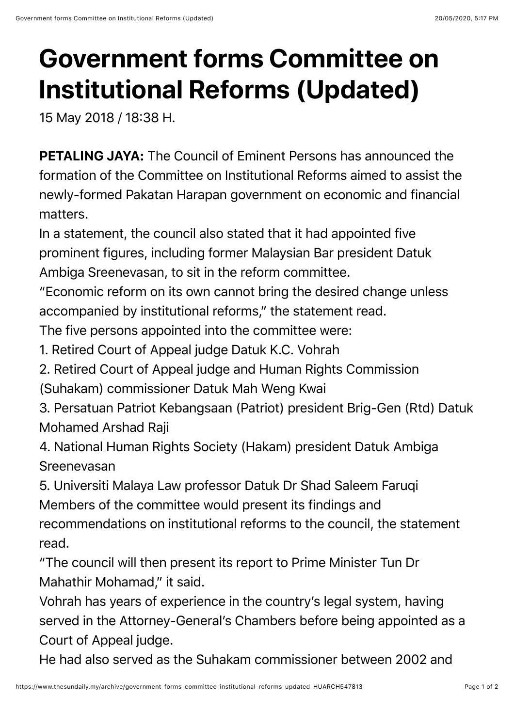## **Government forms Committee on Institutional Reforms (Updated)**

15 May 2018 / 18:38 H.

PETALING JAYA: The Council of Eminent Persons has announced the formation of the Committee on Institutional Reforms aimed to assist the newly-formed Pakatan Harapan government on economic and financial matters.

In a statement, the council also stated that it had appointed five prominent figures, including former Malaysian Bar president Datuk Ambiga Sreenevasan, to sit in the reform committee.

"Economic reform on its own cannot bring the desired change unless accompanied by institutional reforms," the statement read.

The five persons appointed into the committee were:

- 1. Retired Court of Appeal judge Datuk K.C. Vohrah
- 2. Retired Court of Appeal judge and Human Rights Commission (Suhakam) commissioner Datuk Mah Weng Kwai
- 3. Persatuan Patriot Kebangsaan (Patriot) president Brig-Gen (Rtd) Datuk Mohamed Arshad Raji

4. National Human Rights Society (Hakam) president Datuk Ambiga Sreenevasan

5. Universiti Malaya Law professor Datuk Dr Shad Saleem Faruqi Members of the committee would present its findings and recommendations on institutional reforms to the council, the statement read.

"The council will then present its report to Prime Minister Tun Dr Mahathir Mohamad," it said.

Vohrah has years of experience in the country's legal system, having served in the Attorney-General's Chambers before being appointed as a Court of Appeal judge.

He had also served as the Suhakam commissioner between 2002 and